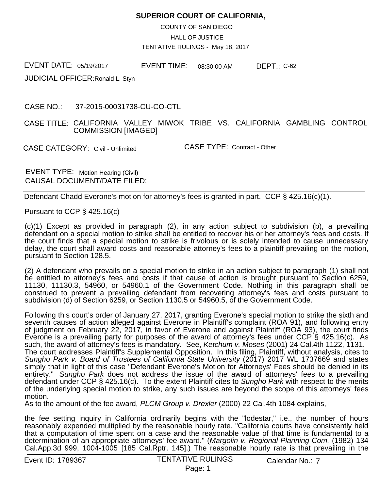## **SUPERIOR COURT OF CALIFORNIA,**

COUNTY OF SAN DIEGO

HALL OF JUSTICE

TENTATIVE RULINGS - May 18, 2017

EVENT DATE: EVENT TIME: DEPT.: EVENT TIME:

JUDICIAL OFFICER:Ronald L. Styn

CASE NO.: 37-2015-00031738-CU-CO-CTL

CASE TITLE: CALIFORNIA VALLEY MIWOK TRIBE VS. CALIFORNIA GAMBLING CONTROL COMMISSION [IMAGED]

CASE CATEGORY: Civil - Unlimited

CASE TYPE: Contract - Other

EVENT TYPE: Motion Hearing (Civil) CAUSAL DOCUMENT/DATE FILED:

Defendant Chadd Everone's motion for attorney's fees is granted in part. CCP § 425.16(c)(1).

Pursuant to CCP § 425.16(c)

(c)(1) Except as provided in paragraph (2), in any action subject to subdivision (b), a prevailing defendant on a special motion to strike shall be entitled to recover his or her attorney's fees and costs. If the court finds that a special motion to strike is frivolous or is solely intended to cause unnecessary delay, the court shall award costs and reasonable attorney's fees to a plaintiff prevailing on the motion, pursuant to Section 128.5.

(2) A defendant who prevails on a special motion to strike in an action subject to paragraph (1) shall not be entitled to attorney's fees and costs if that cause of action is brought pursuant to Section 6259, 11130, 11130.3, 54960, or 54960.1 of the Government Code. Nothing in this paragraph shall be construed to prevent a prevailing defendant from recovering attorney's fees and costs pursuant to subdivision (d) of Section 6259, or Section 1130.5 or 54960.5, of the Government Code.

Following this court's order of January 27, 2017, granting Everone's special motion to strike the sixth and seventh causes of action alleged against Everone in Plaintiff's complaint (ROA 91), and following entry of judgment on February 22, 2017, in favor of Everone and against Plaintiff (ROA 93), the court finds Everone is a prevailing party for purposes of the award of attorney's fees under CCP § 425.16(c). As such, the award of attorney's fees is mandatory. See, *Ketchum v. Moses* (2001) 24 Cal.4th 1122, 1131. The court addresses Plaintiff's Supplemental Opposition. In this filing, Plaintiff, without analysis, cites to *Sungho Park v. Board of Trustees of California State University* (2017) 2017 WL 1737669 and states simply that in light of this case "Defendant Everone's Motion for Attorneys' Fees should be denied in its entirety." *Sungho Park* does not address the issue of the award of attorneys' fees to a prevailing defendant under CCP § 425.16(c). To the extent Plaintiff cites to *Sungho Park* with respect to the merits of the underlying special motion to strike, any such issues are beyond the scope of this attorneys' fees motion.

As to the amount of the fee award, *PLCM Group v. Drexler* (2000) 22 Cal.4th 1084 explains,

the fee setting inquiry in California ordinarily begins with the "lodestar," i.e., the number of hours reasonably expended multiplied by the reasonable hourly rate. "California courts have consistently held that a computation of time spent on a case and the reasonable value of that time is fundamental to a determination of an appropriate attorneys' fee award." (*Margolin v. Regional Planning Com.* (1982) 134 Cal.App.3d 999, 1004-1005 [185 Cal.Rptr. 145].) The reasonable hourly rate is that prevailing in the